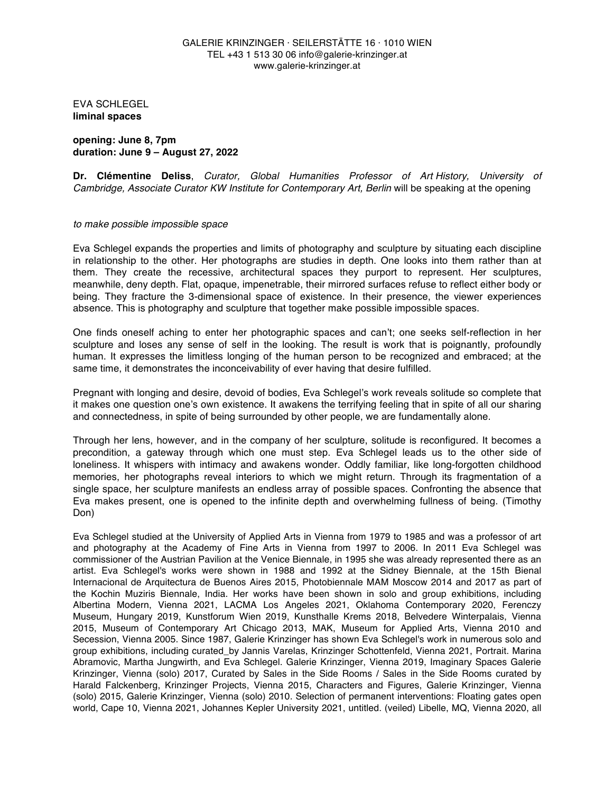EVA SCHLEGEL **liminal spaces**

**opening: June 8, 7pm duration: June 9 – August 27, 2022**

**Dr. Clémentine Deliss**, *Curator, Global Humanities Professor of Art History, University of Cambridge, Associate Curator KW Institute for Contemporary Art, Berlin* will be speaking at the opening

## *to make possible impossible space*

Eva Schlegel expands the properties and limits of photography and sculpture by situating each discipline in relationship to the other. Her photographs are studies in depth. One looks into them rather than at them. They create the recessive, architectural spaces they purport to represent. Her sculptures, meanwhile, deny depth. Flat, opaque, impenetrable, their mirrored surfaces refuse to reflect either body or being. They fracture the 3-dimensional space of existence. In their presence, the viewer experiences absence. This is photography and sculpture that together make possible impossible spaces.

One finds oneself aching to enter her photographic spaces and can't; one seeks self-reflection in her sculpture and loses any sense of self in the looking. The result is work that is poignantly, profoundly human. It expresses the limitless longing of the human person to be recognized and embraced; at the same time, it demonstrates the inconceivability of ever having that desire fulfilled.

Pregnant with longing and desire, devoid of bodies, Eva Schlegel's work reveals solitude so complete that it makes one question one's own existence. It awakens the terrifying feeling that in spite of all our sharing and connectedness, in spite of being surrounded by other people, we are fundamentally alone.

Through her lens, however, and in the company of her sculpture, solitude is reconfigured. It becomes a precondition, a gateway through which one must step. Eva Schlegel leads us to the other side of loneliness. It whispers with intimacy and awakens wonder. Oddly familiar, like long-forgotten childhood memories, her photographs reveal interiors to which we might return. Through its fragmentation of a single space, her sculpture manifests an endless array of possible spaces. Confronting the absence that Eva makes present, one is opened to the infinite depth and overwhelming fullness of being. (Timothy Don)

Eva Schlegel studied at the University of Applied Arts in Vienna from 1979 to 1985 and was a professor of art and photography at the Academy of Fine Arts in Vienna from 1997 to 2006. In 2011 Eva Schlegel was commissioner of the Austrian Pavilion at the Venice Biennale, in 1995 she was already represented there as an artist. Eva Schlegel's works were shown in 1988 and 1992 at the Sidney Biennale, at the 15th Bienal Internacional de Arquitectura de Buenos Aires 2015, Photobiennale MAM Moscow 2014 and 2017 as part of the Kochin Muziris Biennale, India. Her works have been shown in solo and group exhibitions, including Albertina Modern, Vienna 2021, LACMA Los Angeles 2021, Oklahoma Contemporary 2020, Ferenczy Museum, Hungary 2019, Kunstforum Wien 2019, Kunsthalle Krems 2018, Belvedere Winterpalais, Vienna 2015, Museum of Contemporary Art Chicago 2013, MAK, Museum for Applied Arts, Vienna 2010 and Secession, Vienna 2005. Since 1987, Galerie Krinzinger has shown Eva Schlegel's work in numerous solo and group exhibitions, including curated\_by Jannis Varelas, Krinzinger Schottenfeld, Vienna 2021, Portrait. Marina Abramovic, Martha Jungwirth, and Eva Schlegel. Galerie Krinzinger, Vienna 2019, Imaginary Spaces Galerie Krinzinger, Vienna (solo) 2017, Curated by Sales in the Side Rooms / Sales in the Side Rooms curated by Harald Falckenberg, Krinzinger Projects, Vienna 2015, Characters and Figures, Galerie Krinzinger, Vienna (solo) 2015, Galerie Krinzinger, Vienna (solo) 2010. Selection of permanent interventions: Floating gates open world, Cape 10, Vienna 2021, Johannes Kepler University 2021, untitled. (veiled) Libelle, MQ, Vienna 2020, all